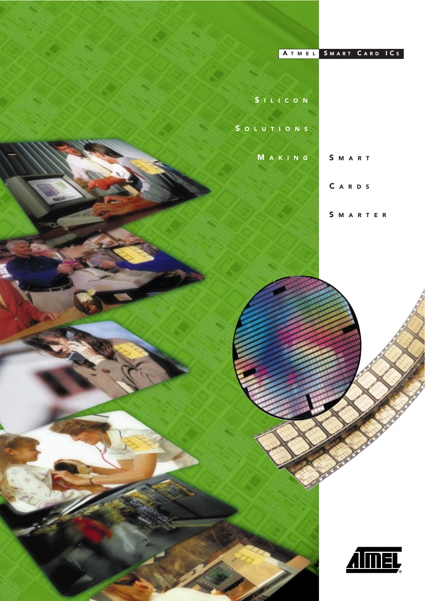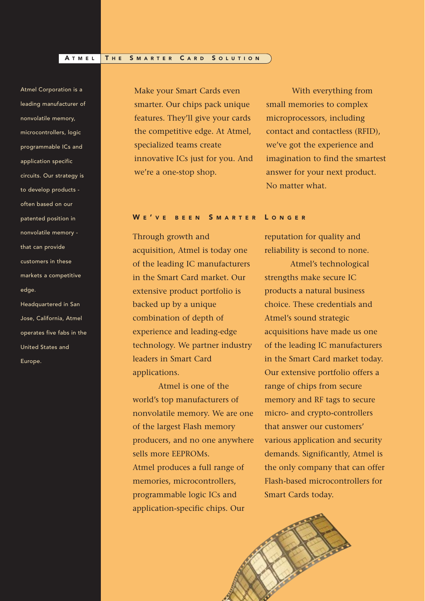## A TMEL THE SMARTER CARD SOLUTION

Atmel Corporation is a leading manufacturer of nonvolatile memory, microcontrollers, logic programmable ICs and application specific circuits. Our strategy is to develop products often based on our patented position in nonvolatile memory that can provide customers in these markets a competitive edge.

Headquartered in San Jose, California, Atmel operates five fabs in the United States and Europe.

Make your Smart Cards even smarter. Our chips pack unique features. They'll give your cards the competitive edge. At Atmel, specialized teams create innovative ICs just for you. And we're a one-stop shop.

WE'VE BEEN SMARTER LONGER

Through growth and acquisition, Atmel is today one of the leading IC manufacturers in the Smart Card market. Our extensive product portfolio is backed up by a unique combination of depth of experience and leading-edge technology. We partner industry leaders in Smart Card applications.

Atmel is one of the world's top manufacturers of nonvolatile memory. We are one of the largest Flash memory producers, and no one anywhere sells more EEPROMs. Atmel produces a full range of memories, microcontrollers, programmable logic ICs and application-specific chips. Our

With everything from small memories to complex microprocessors, including contact and contactless (RFID), we've got the experience and imagination to find the smartest answer for your next product. No matter what.

reputation for quality and reliability is second to none.

Atmel's technological strengths make secure IC products a natural business choice. These credentials and Atmel's sound strategic acquisitions have made us one of the leading IC manufacturers in the Smart Card market today. Our extensive portfolio offers a range of chips from secure memory and RF tags to secure micro- and crypto-controllers that answer our customers' various application and security demands. Significantly, Atmel is the only company that can offer Flash-based microcontrollers for Smart Cards today.

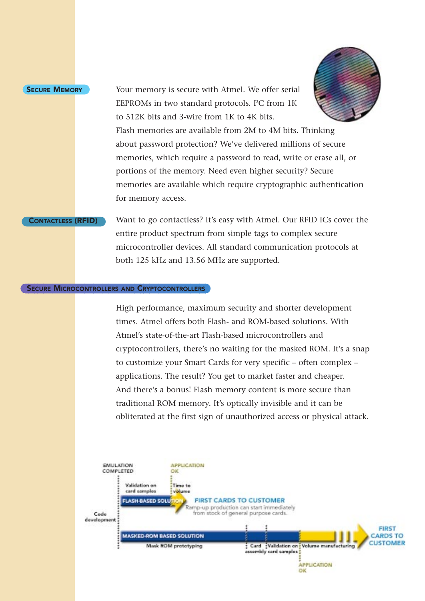# **SECURE MEMORY**

Your memory is secure with Atmel. We offer serial EEPROMs in two standard protocols. I<sup>2</sup>C from  $1K$ to 512K bits and 3-wire from 1K to 4K bits.



Flash memories are available from 2M to 4M bits. Thinking about password protection? We've delivered millions of secure memories, which require a password to read, write or erase all, or portions of the memory. Need even higher security? Secure memories are available which require cryptographic authentication for memory access.

CONTACTLESS (RFID) Want to go contactless? It's easy with Atmel. Our RFID ICs cover the entire product spectrum from simple tags to complex secure microcontroller devices. All standard communication protocols at both 125 kHz and 13.56 MHz are supported.

# **SECURE MICROCONTROLLERS AND CRYPTOCONTROLLERS**

High performance, maximum security and shorter development times. Atmel offers both Flash- and ROM-based solutions. With Atmel's state-of-the-art Flash-based microcontrollers and cryptocontrollers, there's no waiting for the masked ROM. It's a snap to customize your Smart Cards for very specific – often complex – applications. The result? You get to market faster and cheaper. And there's a bonus! Flash memory content is more secure than traditional ROM memory. It's optically invisible and it can be obliterated at the first sign of unauthorized access or physical attack.

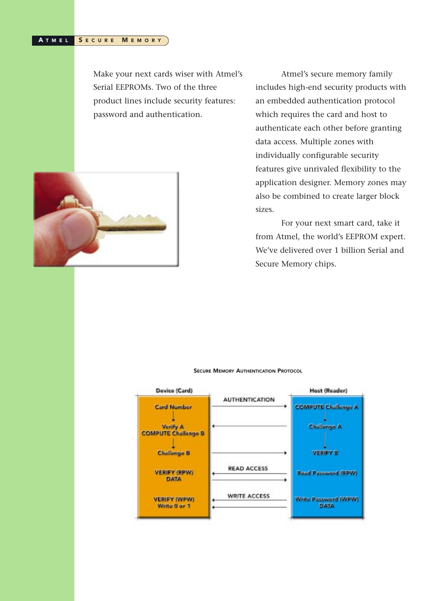#### SECURE MEMORY A TMEL

Make your next cards wiser with Atmel's Serial EEPROMs. Two of the three product lines include security features: password and authentication.



Atmel's secure memory family includes high-end security products with an embedded authentication protocol which requires the card and host to authenticate each other before granting data access. Multiple zones with individually configurable security features give unrivaled flexibility to the application designer. Memory zones may also be combined to create larger block sizes.

For your next smart card, take it from Atmel, the world's EEPROM expert. We've delivered over 1 billion Serial and Secure Memory chips.



#### SECURE MEMORY AUTHENTICATION PROTOCOL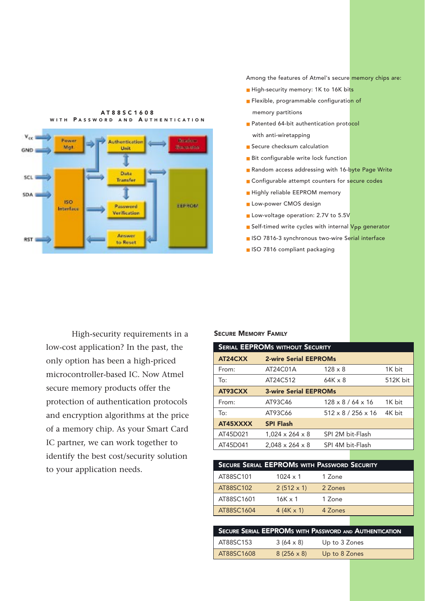

A T88SC1608 WITH PASSWORD AND AUTHENTICATION Among the features of Atmel's secure memory chips are:

- High-security memory: 1K to 16K bits
- Flexible, programmable configuration of memory partitions
- Patented 64-bit authentication protocol with anti-wiretapping
- Secure checksum calculation
- Bit configurable write lock function
- Random access addressing with 16-byte Page Write
- Configurable attempt counters for secure codes
- Highly reliable EEPROM memory
- Low-power CMOS design
- Low-voltage operation: 2.7V to 5.5V
- Self-timed write cycles with internal V<sub>PP</sub> generator
- ISO 7816-3 synchronous two-wire Serial interface
- ISO 7816 compliant packaging

High-security requirements in a low-cost application? In the past, the only option has been a high-priced microcontroller-based IC. Now Atmel secure memory products offer the protection of authentication protocols and encryption algorithms at the price of a memory chip. As your Smart Card IC partner, we can work together to identify the best cost/security solution to your application needs.

## SECURE MEMORY FAMILY

| <b>SERIAL EEPROMS WITHOUT SECURITY</b> |                              |                                |          |  |  |  |
|----------------------------------------|------------------------------|--------------------------------|----------|--|--|--|
| AT24CXX                                | <b>2-wire Serial EEPROMs</b> |                                |          |  |  |  |
| From:                                  | AT24C01A                     | $128 \times 8$                 | 1K bit   |  |  |  |
| To:                                    | AT24C512                     | $64K \times 8$                 | 512K bit |  |  |  |
| AT93CXX                                | <b>3-wire Serial EEPROMs</b> |                                |          |  |  |  |
| From:                                  | AT93C46                      | $128 \times 8 / 64 \times 16$  | $1K$ bit |  |  |  |
| To:                                    | AT93C66                      | $512 \times 8 / 256 \times 16$ | 4K bit   |  |  |  |
| AT45XXXX                               | <b>SPI Flash</b>             |                                |          |  |  |  |
| AT45D021                               | $1,024 \times 264 \times 8$  | SPI 2M bit-Flash               |          |  |  |  |
| AT45D041                               | $2.048 \times 264 \times 8$  | SPI 4M bit-Flash               |          |  |  |  |

|            |                   | <b>SECURE SERIAL EEPROMS WITH PASSWORD SECURITY</b> |  |
|------------|-------------------|-----------------------------------------------------|--|
| AT88SC101  | $1024 \times 1$   | 1 Zone                                              |  |
| AT88SC102  | $2(512 \times 1)$ | 2 Zones                                             |  |
| AT88SC1601 | $16K \times 1$    | 1 Zone                                              |  |
| AT88SC1604 | $4 (4K \times 1)$ | 4 Zones                                             |  |
|            |                   |                                                     |  |

| <b>SECURE SERIAL EEPROMS WITH PASSWORD AND AUTHENTICATION</b> |                   |               |  |  |  |
|---------------------------------------------------------------|-------------------|---------------|--|--|--|
| AT88SC153                                                     | $3(64 \times 8)$  | Up to 3 Zones |  |  |  |
| AT88SC1608                                                    | $8(256 \times 8)$ | Up to 8 Zones |  |  |  |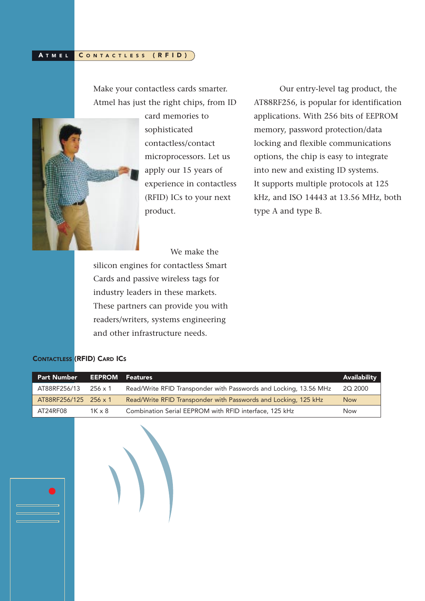#### CONTACTLESS (RFID) A TMEL

Make your contactless cards smarter. Atmel has just the right chips, from ID



card memories to sophisticated contactless/contact microprocessors. Let us apply our 15 years of experience in contactless (RFID) ICs to your next product.

Our entry-level tag product, the AT88RF256, is popular for identification applications. With 256 bits of EEPROM memory, password protection/data locking and flexible communications options, the chip is easy to integrate into new and existing ID systems. It supports multiple protocols at 125 kHz, and ISO 14443 at 13.56 MHz, both type A and type B.

We make the

silicon engines for contactless Smart Cards and passive wireless tags for industry leaders in these markets. These partners can provide you with readers/writers, systems engineering and other infrastructure needs.

# CONTACTLESS (RFID) CARD ICS

| <b>Part Number</b> | <b>EEPROM</b>  | <b>Features</b>                                                   | <b>Availability</b> |
|--------------------|----------------|-------------------------------------------------------------------|---------------------|
| AT88RF256/13       | $256 \times 1$ | Read/Write RFID Transponder with Passwords and Locking, 13.56 MHz | 2Q 2000             |
| AT88RF256/125      | $256 \times 1$ | Read/Write RFID Transponder with Passwords and Locking, 125 kHz   | Now                 |
| AT24RF08           | $1K \times 8$  | Combination Serial EEPROM with RFID interface, 125 kHz            | Now                 |
|                    |                |                                                                   |                     |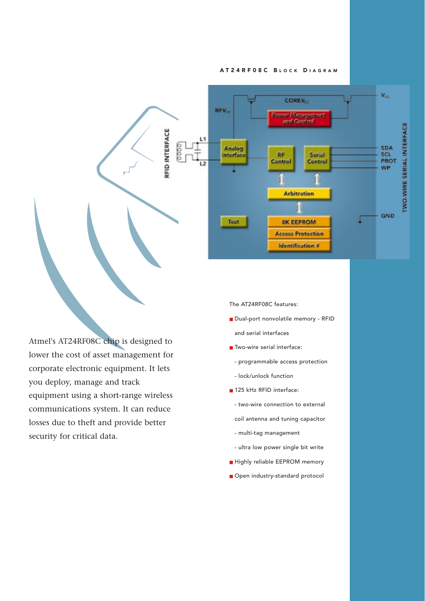## AT24RF08C BLOCK DIAGRAM



Atmel's AT24RF08C chip is designed to lower the cost of asset management for corporate electronic equipment. It lets you deploy, manage and track equipment using a short-range wireless communications system. It can reduce losses due to theft and provide better security for critical data.

The AT24RF08C features:

- Dual-port nonvolatile memory RFID and serial interfaces
- Two-wire serial interface:
	- programmable access protection
	- lock/unlock function
- 125 kHz RFID interface:
- two-wire connection to external

coil antenna and tuning capacitor

- multi-tag management
- ultra low power single bit write
- Highly reliable EEPROM memory
- Open industry-standard protocol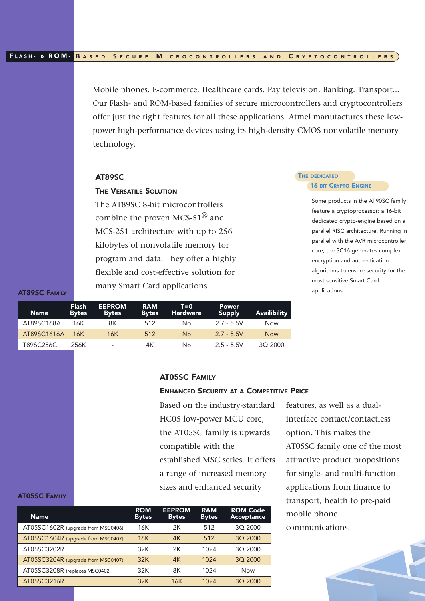Mobile phones. E-commerce. Healthcare cards. Pay television. Banking. Transport... Our Flash- and ROM-based families of secure microcontrollers and cryptocontrollers offer just the right features for all these applications. Atmel manufactures these lowpower high-performance devices using its high-density CMOS nonvolatile memory technology.

# AT89SC

# THE VERSATILE SOLUTION

The AT89SC 8-bit microcontrollers combine the proven MCS-51 $^{\circledR}$  and MCS-251 architecture with up to 256 kilobytes of nonvolatile memory for program and data. They offer a highly flexible and cost-effective solution for many Smart Card applications.

## **THE DEDICATED 16-BIT CRYPTO ENGINE**

Some products in the AT90SC family feature a cryptoprocessor: a 16-bit dedicated crypto-engine based on a parallel RISC architecture. Running in parallel with the AVR microcontroller core, the SC16 generates complex encryption and authentication algorithms to ensure security for the most sensitive Smart Card applications.

AT89SC FAMILY

AT05SC FAMILY

| 'Name i     | <b>Flash</b><br><b>Bytes</b> | <b>EEPROM</b><br><b>Bytes</b> | <b>RAM</b><br><b>Bytes</b> | $T=0$<br><b>Hardware</b> | <b>Power</b><br>Supply | Availibility |
|-------------|------------------------------|-------------------------------|----------------------------|--------------------------|------------------------|--------------|
| AT89SC168A  | 16K                          | 8Κ                            | 512                        | No                       | $2.7 - 5.5V$           | Now          |
| AT89SC1616A | - 16K                        | 16K                           | 512                        | No                       | $2.7 - 5.5V$           | <b>Now</b>   |
| T89SC256C   | 256K                         | $\overline{\phantom{a}}$      | 4К                         | No                       | $2.5 - 5.5V$           | 3Q 2000      |

# AT05SC FAMILY

# ENHANCED SECURITY AT A COMPETITIVE PRICE

Based on the industry-standard HC05 low-power MCU core, the AT05SC family is upwards compatible with the established MSC series. It offers a range of increased memory sizes and enhanced security

features, as well as a dualinterface contact/contactless option. This makes the AT05SC family one of the most attractive product propositions for single- and multi-function applications from finance to transport, health to pre-paid mobile phone communications.

| <b>Name</b>                        | <b>ROM</b><br><b>Bytes</b> | <b>EEPROM</b><br><b>Bytes</b> | <b>RAM</b><br><b>Bytes</b> | <b>ROM Code</b><br>Acceptance |
|------------------------------------|----------------------------|-------------------------------|----------------------------|-------------------------------|
| AT05SC1602R (upgrade from MSC0406) | 16K                        | 2К                            | 512                        | 3Q 2000                       |
| AT05SC1604R (upgrade from MSC0407) | 16K                        | 4K                            | 512                        | 3Q 2000                       |
| AT05SC3202R                        | 32K                        | 2К                            | 1024                       | 3Q 2000                       |
| AT05SC3204R (upgrade from MSC0407) | 32K                        | 4K                            | 1024                       | 3Q 2000                       |
| AT05SC3208R (replaces MSC0402)     | 32K                        | 8Κ                            | 1024                       | <b>Now</b>                    |
| AT05SC3216R                        | 32K                        | 16K                           | 1024                       | 3Q 2000                       |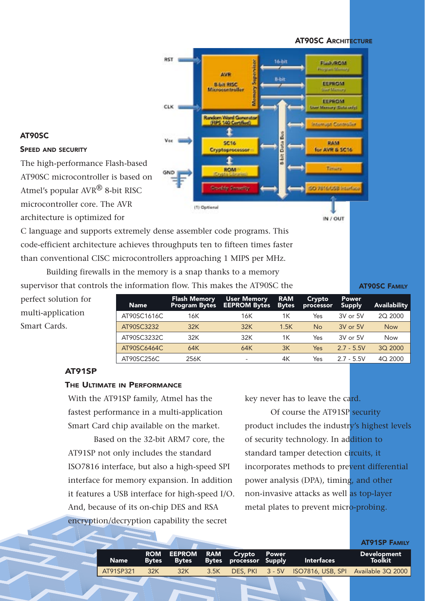**AT90SC ARCHITECTURE** 



# AT90SC

# SPEED AND SECURITY

The high-performance Flash-based AT90SC microcontroller is based on Atmel's popular AVR® 8-bit RISC microcontroller core. The AVR architecture is optimized for

C language and supports extremely dense assembler code programs. This code-efficient architecture achieves throughputs ten to fifteen times faster than conventional CISC microcontrollers approaching 1 MIPS per MHz.

Building firewalls in the memory is a snap thanks to a memory supervisor that controls the information flow. This makes the AT90SC the

AT90SC FAMILY

perfect solution for multi-application Smart Cards.

Flash Memory User Memory RAM Crypto Power Name Program Bytes EEPROM Bytes Bytes processor Supply Availability AT90SC1616C 16K 16K 1K Yes 3V or 5V 2Q 2000 AT90SC3232 32K 32K 1.5K No 3V or 5V Now AT90SC3232C 32K 32K 1K Yes 3V or 5V Now AT90SC6464C 64K 64K 3K Yes 2.7 - 5.5V 3Q 2000 AT90SC256C 256K - 4K Yes 2.7 - 5.5V 4Q 2000

# AT91SP

# THE ULTIMATE IN PERFORMANCE

With the AT91SP family, Atmel has the fastest performance in a multi-application Smart Card chip available on the market.

Based on the 32-bit ARM7 core, the AT91SP not only includes the standard ISO7816 interface, but also a high-speed SPI interface for memory expansion. In addition it features a USB interface for high-speed I/O. And, because of its on-chip DES and RSA encryption/decryption capability the secret

key never has to leave the card.

Of course the AT91SP security product includes the industry's highest levels of security technology. In addition to standard tamper detection circuits, it incorporates methods to prevent differential power analysis (DPA), timing, and other non-invasive attacks as well as top-layer metal plates to prevent micro-probing.

|               |        |                             |                                                          | <b>AT91SP FAMILY</b>                 |
|---------------|--------|-----------------------------|----------------------------------------------------------|--------------------------------------|
|               |        | ROM EEPROM RAM Crypto Power | Name Bytes Bytes Bytes processor Supply Interfaces       | <b>Development</b><br><b>Toolkit</b> |
| AT91SP321 32K | $-32K$ |                             | 3.5K DES, PKI 3 - 5V ISO7816, USB, SPI Available 3Q 2000 |                                      |
|               |        |                             |                                                          |                                      |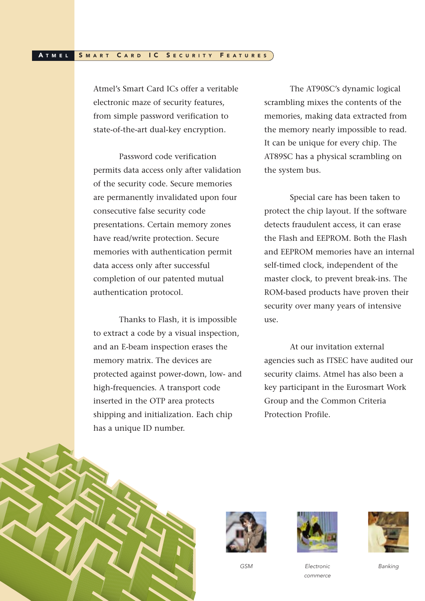#### SMART CARD IC SECURITY FEATURES A TMEL

Atmel's Smart Card ICs offer a veritable electronic maze of security features, from simple password verification to state-of-the-art dual-key encryption.

Password code verification permits data access only after validation of the security code. Secure memories are permanently invalidated upon four consecutive false security code presentations. Certain memory zones have read/write protection. Secure memories with authentication permit data access only after successful completion of our patented mutual authentication protocol.

Thanks to Flash, it is impossible to extract a code by a visual inspection, and an E-beam inspection erases the memory matrix. The devices are protected against power-down, low- and high-frequencies. A transport code inserted in the OTP area protects shipping and initialization. Each chip has a unique ID number.

The AT90SC's dynamic logical scrambling mixes the contents of the memories, making data extracted from the memory nearly impossible to read. It can be unique for every chip. The AT89SC has a physical scrambling on the system bus.

Special care has been taken to protect the chip layout. If the software detects fraudulent access, it can erase the Flash and EEPROM. Both the Flash and EEPROM memories have an internal self-timed clock, independent of the master clock, to prevent break-ins. The ROM-based products have proven their security over many years of intensive use.

At our invitation external agencies such as ITSEC have audited our security claims. Atmel has also been a key participant in the Eurosmart Work Group and the Common Criteria Protection Profile.





GSM





Electronic commerce Banking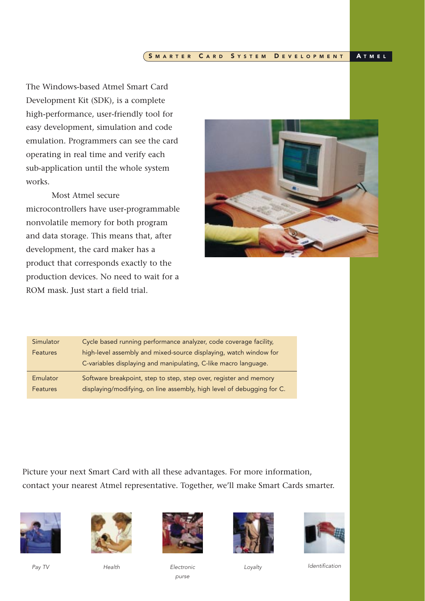#### SMARTER CARD SYSTEM DEVELOPMENT A T M E L

The Windows-based Atmel Smart Card Development Kit (SDK), is a complete high-performance, user-friendly tool for easy development, simulation and code emulation. Programmers can see the card operating in real time and verify each sub-application until the whole system works.

Most Atmel secure microcontrollers have user-programmable nonvolatile memory for both program and data storage. This means that, after development, the card maker has a product that corresponds exactly to the production devices. No need to wait for a ROM mask. Just start a field trial.



| Simulator       | Cycle based running performance analyzer, code coverage facility,      |
|-----------------|------------------------------------------------------------------------|
| <b>Features</b> | high-level assembly and mixed-source displaying, watch window for      |
|                 | C-variables displaying and manipulating, C-like macro language.        |
| Emulator        | Software breakpoint, step to step, step over, register and memory      |
| <b>Features</b> | displaying/modifying, on line assembly, high level of debugging for C. |

Picture your next Smart Card with all these advantages. For more information, contact your nearest Atmel representative. Together, we'll make Smart Cards smarter.









purse





Electronic Loyalty Loyalty Identification